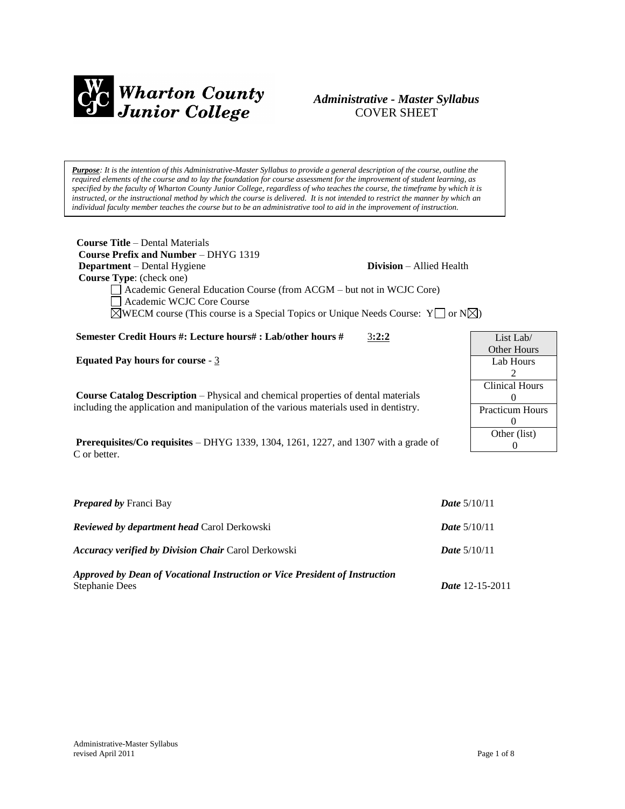

# *Administrative - Master Syllabus*  COVER SHEET

*Purpose: It is the intention of this Administrative-Master Syllabus to provide a general description of the course, outline the required elements of the course and to lay the foundation for course assessment for the improvement of student learning, as specified by the faculty of Wharton County Junior College, regardless of who teaches the course, the timeframe by which it is instructed, or the instructional method by which the course is delivered. It is not intended to restrict the manner by which an individual faculty member teaches the course but to be an administrative tool to aid in the improvement of instruction.*

| <b>Course Title</b> – Dental Materials                                                                       |                                 |  |
|--------------------------------------------------------------------------------------------------------------|---------------------------------|--|
| Course Prefix and Number – DHYG 1319                                                                         |                                 |  |
| <b>Department</b> – Dental Hygiene                                                                           | <b>Division</b> – Allied Health |  |
| <b>Course Type:</b> (check one)                                                                              |                                 |  |
| $\Box$ Academic General Education Course (from ACGM – but not in WCJC Core)                                  |                                 |  |
| Academic WCJC Core Course                                                                                    |                                 |  |
| $\boxtimes$ WECM course (This course is a Special Topics or Unique Needs Course: Y $\Box$ or N $\boxtimes$ ) |                                 |  |

**Semester Credit Hours #: Lecture hours# : Lab/other hours #** 3**:2:2**

**Equated Pay hours for course** - 3

**Course Catalog Description** – Physical and chemical properties of dental materials including the application and manipulation of the various materials used in dentistry.

**Prerequisites/Co requisites** – DHYG 1339, 1304, 1261, 1227, and 1307 with a grade of C or better.

| <b>Prepared by Franci Bay</b>                                                                        | <b>Date</b> $5/10/11$  |
|------------------------------------------------------------------------------------------------------|------------------------|
| <b>Reviewed by department head Carol Derkowski</b>                                                   | <i>Date</i> $5/10/11$  |
| <b>Accuracy verified by Division Chair Carol Derkowski</b>                                           | <i>Date</i> $5/10/11$  |
| Approved by Dean of Vocational Instruction or Vice President of Instruction<br><b>Stephanie Dees</b> | <b>Date</b> 12-15-2011 |

| List Lab/              |
|------------------------|
| Other Hours            |
| Lab Hours              |
| 2                      |
| <b>Clinical Hours</b>  |
| 0                      |
| <b>Practicum Hours</b> |
| 0                      |
| Other (list)           |
|                        |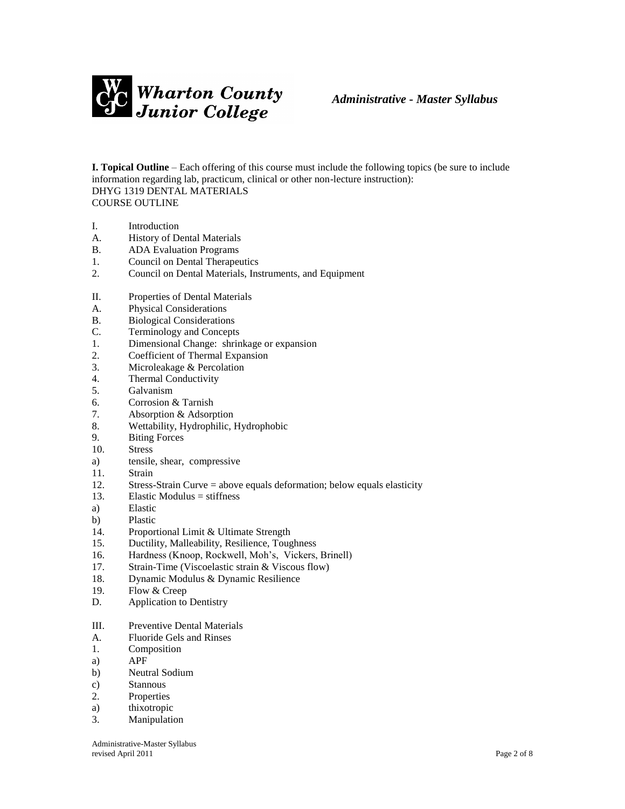

**I. Topical Outline** – Each offering of this course must include the following topics (be sure to include information regarding lab, practicum, clinical or other non-lecture instruction): DHYG 1319 DENTAL MATERIALS COURSE OUTLINE

- I. Introduction
- A. History of Dental Materials
- B. ADA Evaluation Programs
- 1. Council on Dental Therapeutics
- 2. Council on Dental Materials, Instruments, and Equipment
- II. Properties of Dental Materials
- A. Physical Considerations
- B. Biological Considerations
- C. Terminology and Concepts
- 1. Dimensional Change: shrinkage or expansion
- 2. Coefficient of Thermal Expansion
- 3. Microleakage & Percolation
- 4. Thermal Conductivity
- 5. Galvanism
- 6. Corrosion & Tarnish
- 7. Absorption & Adsorption
- 8. Wettability, Hydrophilic, Hydrophobic
- 9. Biting Forces
- 10. Stress
- a) tensile, shear, compressive
- 11. Strain
- 12. Stress-Strain Curve = above equals deformation; below equals elasticity
- 13. Elastic Modulus = stiffness
- a) Elastic
- b) Plastic
- 14. Proportional Limit & Ultimate Strength
- 15. Ductility, Malleability, Resilience, Toughness
- 16. Hardness (Knoop, Rockwell, Moh's, Vickers, Brinell)
- 17. Strain-Time (Viscoelastic strain & Viscous flow)
- 18. Dynamic Modulus & Dynamic Resilience
- 19. Flow & Creep
- D. Application to Dentistry
- III. Preventive Dental Materials
- A. Fluoride Gels and Rinses
- 1. Composition
- a) APF
- b) Neutral Sodium
- c) Stannous
- 2. Properties
- a) thixotropic
- 3. Manipulation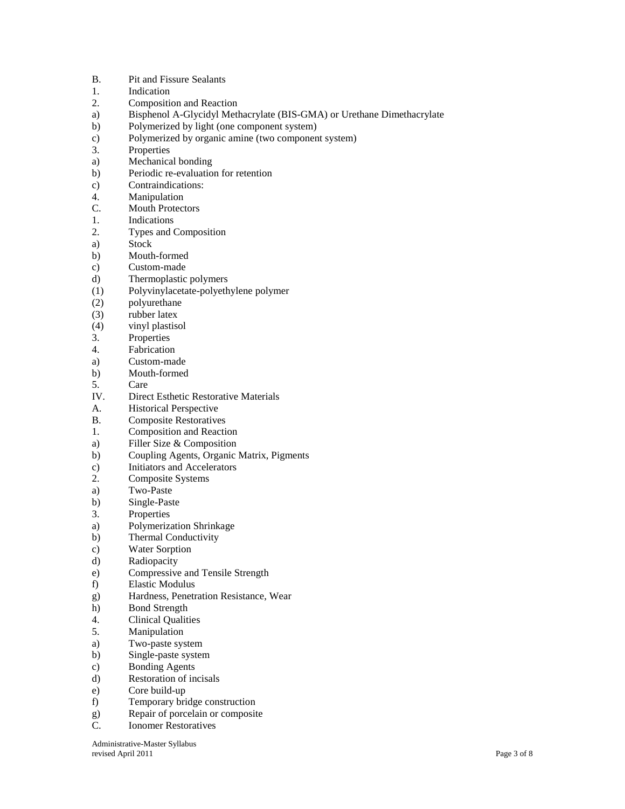- B. Pit and Fissure Sealants
- 1. Indication
- 2. Composition and Reaction
- a) Bisphenol A-Glycidyl Methacrylate (BIS-GMA) or Urethane Dimethacrylate
- b) Polymerized by light (one component system)
- c) Polymerized by organic amine (two component system)
- 3. Properties
- a) Mechanical bonding
- b) Periodic re-evaluation for retention
- c) Contraindications:
- 4. Manipulation
- C. Mouth Protectors
- 1. Indications
- 2. Types and Composition
- a) Stock
- b) Mouth-formed
- c) Custom-made
- d) Thermoplastic polymers
- (1) Polyvinylacetate-polyethylene polymer
- (2) polyurethane
- (3) rubber latex
- (4) vinyl plastisol
- 3. Properties
- 4. Fabrication
- a) Custom-made
- b) Mouth-formed
- 5. Care
- IV. Direct Esthetic Restorative Materials
- A. Historical Perspective
- B. Composite Restoratives
- 1. Composition and Reaction
- a) Filler Size & Composition
- b) Coupling Agents, Organic Matrix, Pigments
- c) Initiators and Accelerators
- 2. Composite Systems
- a) Two-Paste
- b) Single-Paste
- 3. Properties
- a) Polymerization Shrinkage
- b) Thermal Conductivity
- c) Water Sorption
- d) Radiopacity
- e) Compressive and Tensile Strength
- f) Elastic Modulus
- g) Hardness, Penetration Resistance, Wear
- h) Bond Strength
- 4. Clinical Qualities
- 5. Manipulation
- a) Two-paste system
- b) Single-paste system
- c) Bonding Agents
- d) Restoration of incisals
- e) Core build-up
- f) Temporary bridge construction
- g) Repair of porcelain or composite
- C. Ionomer Restoratives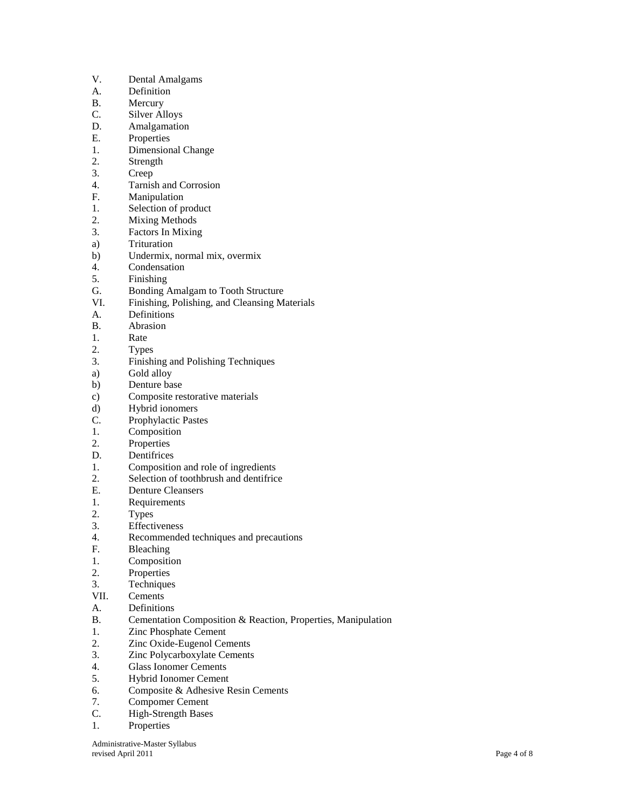- V. Dental Amalgams
- A. Definition
- B. Mercury
- C. Silver Alloys
- D. Amalgamation
- E. Properties
- 1. Dimensional Change
- 2. Strength
- 3. Creep
- 4. Tarnish and Corrosion
- F. Manipulation
- 1. Selection of product<br>2. Mixing Methods
- **Mixing Methods**
- 3. Factors In Mixing
- a) Trituration
- b) Undermix, normal mix, overmix
- 4. Condensation
- 5. Finishing
- G. Bonding Amalgam to Tooth Structure
- VI. Finishing, Polishing, and Cleansing Materials
- A. Definitions
- B. Abrasion
- 1. Rate
- 2. Types
- 3. Finishing and Polishing Techniques
- a) Gold alloy
- b) Denture base
- c) Composite restorative materials
- d) Hybrid ionomers
- C. Prophylactic Pastes
- 1. Composition
- 2. Properties
- D. Dentifrices
- 1. Composition and role of ingredients
- 2. Selection of toothbrush and dentifrice
- E. Denture Cleansers
- 1. Requirements
- 2. Types
- 3. Effectiveness
- 4. Recommended techniques and precautions
- F. Bleaching
- 1. Composition
- 2. Properties
- 3. Techniques
- VII. Cements
- A. Definitions
- B. Cementation Composition & Reaction, Properties, Manipulation
- 1. Zinc Phosphate Cement
- 2. Zinc Oxide-Eugenol Cements
- 3. Zinc Polycarboxylate Cements
- 4. Glass Ionomer Cements
- 5. Hybrid Ionomer Cement
- 6. Composite & Adhesive Resin Cements
- 7. Compomer Cement
- C. High-Strength Bases
- 1. Properties

Administrative-Master Syllabus revised April 2011 Page 4 of 8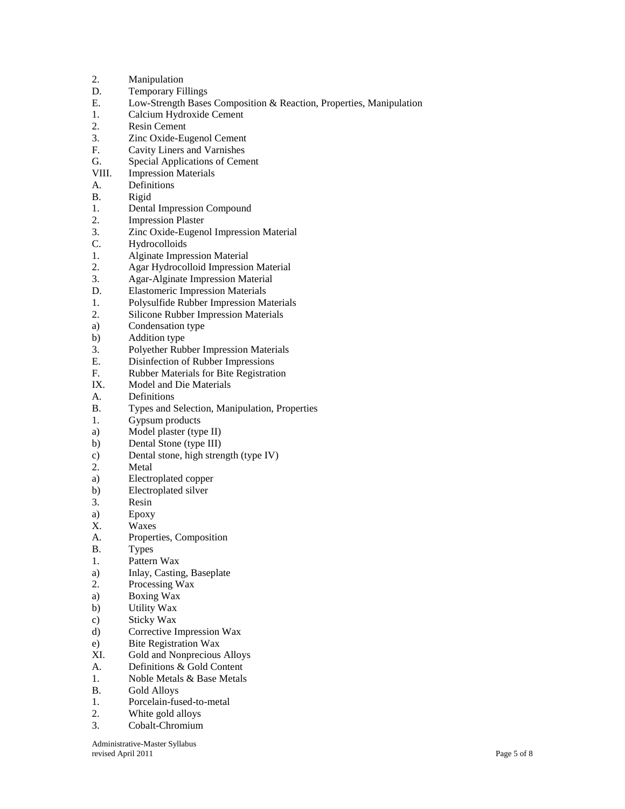| 2.    | Manipulation                                                        |
|-------|---------------------------------------------------------------------|
| D.    | <b>Temporary Fillings</b>                                           |
| Е.    | Low-Strength Bases Composition & Reaction, Properties, Manipulation |
| 1.    | Calcium Hydroxide Cement                                            |
| 2.    | Resin Cement                                                        |
| 3.    | Zinc Oxide-Eugenol Cement                                           |
| F.    | Cavity Liners and Varnishes                                         |
| G.    | <b>Special Applications of Cement</b>                               |
|       |                                                                     |
| VIII. | <b>Impression Materials</b>                                         |
| А.    | Definitions                                                         |
| В.    | Rigid                                                               |
| 1.    | <b>Dental Impression Compound</b>                                   |
| 2.    | <b>Impression Plaster</b>                                           |
| 3.    | Zinc Oxide-Eugenol Impression Material                              |
| C.    | Hydrocolloids                                                       |
| 1.    | <b>Alginate Impression Material</b>                                 |
| 2.    | Agar Hydrocolloid Impression Material                               |
| 3.    | <b>Agar-Alginate Impression Material</b>                            |
| D.    | <b>Elastomeric Impression Materials</b>                             |
| 1.    | Polysulfide Rubber Impression Materials                             |
| 2.    | Silicone Rubber Impression Materials                                |
| a)    | Condensation type                                                   |
| b)    | Addition type                                                       |
| 3.    | Polyether Rubber Impression Materials                               |
| Е.    | Disinfection of Rubber Impressions                                  |
| F.    | Rubber Materials for Bite Registration                              |
|       |                                                                     |
| IX.   | Model and Die Materials                                             |
| А.    | Definitions                                                         |
| В.    | Types and Selection, Manipulation, Properties                       |
| 1.    | Gypsum products                                                     |
| a)    | Model plaster (type II)                                             |
| b)    | Dental Stone (type III)                                             |
| c)    | Dental stone, high strength (type IV)                               |
| 2.    | Metal                                                               |
| a)    | Electroplated copper                                                |
| b)    | Electroplated silver                                                |
| 3.    | Resin                                                               |
| a)    | Epoxy                                                               |
| Х.    | Waxes                                                               |
| A.    | Properties, Composition                                             |
| В.    | <b>Types</b>                                                        |
| 1.    | Pattern Wax                                                         |
| a)    | Inlay, Casting, Baseplate                                           |
| 2.    | Processing Wax                                                      |
| a)    | <b>Boxing Wax</b>                                                   |
|       |                                                                     |
| b)    | Utility Wax                                                         |
| c)    | <b>Sticky Wax</b>                                                   |
| d)    | Corrective Impression Wax                                           |
| e)    | <b>Bite Registration Wax</b>                                        |
| XI.   | Gold and Nonprecious Alloys                                         |
| А.    | Definitions & Gold Content                                          |
| 1.    | Noble Metals & Base Metals                                          |
| В.    | Gold Alloys                                                         |
| 1.    | Porcelain-fused-to-metal                                            |
| 2.    | White gold alloys                                                   |
| 3.    | Cobalt-Chromium                                                     |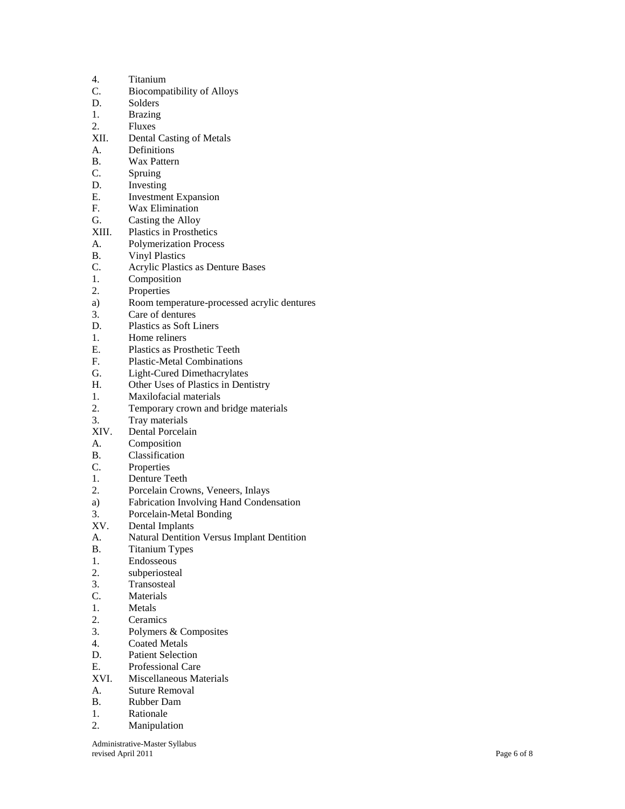| 4.          | Titanium                                    |
|-------------|---------------------------------------------|
| C.          | Biocompatibility of Alloys                  |
| D.          | Solders                                     |
| 1.          | <b>Brazing</b>                              |
| 2.          | Fluxes                                      |
| XII.        | <b>Dental Casting of Metals</b>             |
| А.          | Definitions                                 |
| <b>B.</b>   | Wax Pattern                                 |
| C.          | Spruing                                     |
| D.          | Investing                                   |
| $E_{\cdot}$ | <b>Investment Expansion</b>                 |
| F.          | Wax Elimination                             |
| G.          | Casting the Alloy                           |
| XIII.       | <b>Plastics in Prosthetics</b>              |
| А.          | <b>Polymerization Process</b>               |
| В.          | <b>Vinyl Plastics</b>                       |
| C.          | <b>Acrylic Plastics as Denture Bases</b>    |
| 1.          | Composition                                 |
| 2.          | Properties                                  |
|             | Room temperature-processed acrylic dentures |
| a)<br>3.    | Care of dentures                            |
| D.          | Plastics as Soft Liners                     |
| 1.          | Home reliners                               |
| Е.          | <b>Plastics as Prosthetic Teeth</b>         |
| F.          | <b>Plastic-Metal Combinations</b>           |
| G.          | Light-Cured Dimethacrylates                 |
| Н.          | Other Uses of Plastics in Dentistry         |
| 1.          | Maxilofacial materials                      |
| 2.          | Temporary crown and bridge materials        |
| 3.          | Tray materials                              |
| XIV.        | Dental Porcelain                            |
| A.          | Composition                                 |
| <b>B.</b>   | Classification                              |
| C.          | Properties                                  |
| 1.          | Denture Teeth                               |
| 2.          | Porcelain Crowns, Veneers, Inlays           |
| a)          | Fabrication Involving Hand Condensation     |
| 3.          | Porcelain-Metal Bonding                     |
| XV.         | Dental Implants                             |
| A.          | Natural Dentition Versus Implant Dentition  |
| В.          | <b>Titanium Types</b>                       |
| 1.          | Endosseous                                  |
| 2.          | subperiosteal                               |
| 3.          | Transosteal                                 |
| C.          | Materials                                   |
| 1.          | Metals                                      |
| 2.          | Ceramics                                    |
| 3.          | Polymers & Composites                       |
| 4.          | <b>Coated Metals</b>                        |
| D.          | <b>Patient Selection</b>                    |
| Е.          | <b>Professional Care</b>                    |
| XVI.        | Miscellaneous Materials                     |
| A.          | Suture Removal                              |
| В.          | Rubber Dam                                  |
| 1.          | Rationale                                   |
| 2.          | Manipulation                                |
|             |                                             |

Administrative -Master Syllabus revised April 2011 Page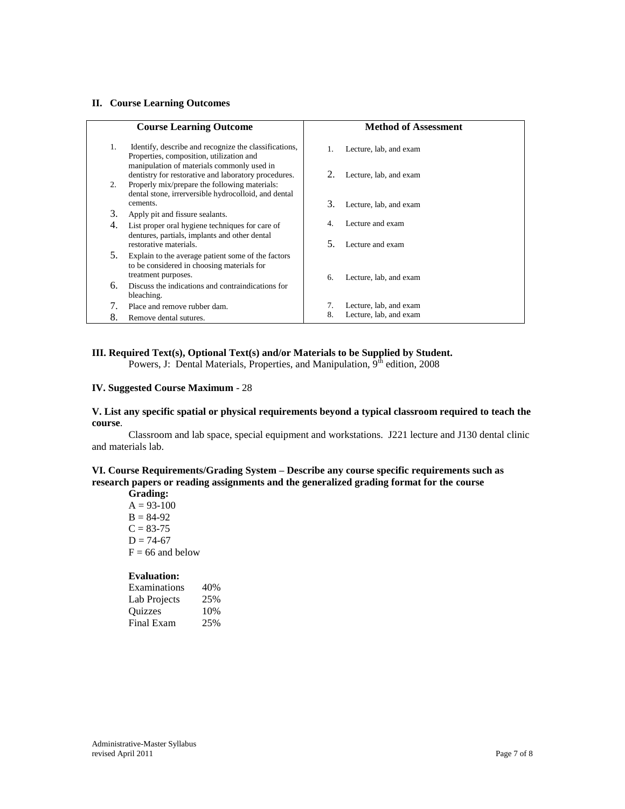#### **II. Course Learning Outcomes**

|    | <b>Course Learning Outcome</b>                                                                                                                      |     | <b>Method of Assessment</b> |
|----|-----------------------------------------------------------------------------------------------------------------------------------------------------|-----|-----------------------------|
| 1. | Identify, describe and recognize the classifications,<br>Properties, composition, utilization and                                                   |     | Lecture, lab, and exam      |
| 2. | manipulation of materials commonly used in<br>dentistry for restorative and laboratory procedures.<br>Properly mix/prepare the following materials: | 2.  | Lecture, lab, and exam      |
|    | dental stone, irrerversible hydrocolloid, and dental<br>cements.                                                                                    | 3.  | Lecture, lab, and exam      |
| 3. | Apply pit and fissure sealants.                                                                                                                     |     |                             |
| 4. | List proper oral hygiene techniques for care of<br>dentures, partials, implants and other dental                                                    | 4.  | Lecture and exam            |
|    | restorative materials.                                                                                                                              | .5. | Lecture and exam            |
| 5. | Explain to the average patient some of the factors<br>to be considered in choosing materials for<br>treatment purposes.                             | 6.  | Lecture, lab, and exam      |
| 6. | Discuss the indications and contraindications for<br>bleaching.                                                                                     |     |                             |
| 7. | Place and remove rubber dam.                                                                                                                        | 7.  | Lecture, lab, and exam      |
| 8. | Remove dental sutures.                                                                                                                              | 8.  | Lecture, lab, and exam      |

### **III. Required Text(s), Optional Text(s) and/or Materials to be Supplied by Student.** Powers, J: Dental Materials, Properties, and Manipulation,  $9^{\text{th}}$  edition, 2008

#### **IV. Suggested Course Maximum** - 28

**V. List any specific spatial or physical requirements beyond a typical classroom required to teach the course**.

Classroom and lab space, special equipment and workstations. J221 lecture and J130 dental clinic and materials lab.

### **VI. Course Requirements/Grading System – Describe any course specific requirements such as research papers or reading assignments and the generalized grading format for the course**

**Grading:**  $A = 93 - 100$  $B = 84-92$  $C = 83 - 75$  $D = 74-67$  $F = 66$  and below

### **Evaluation:**

| Examinations   | 40% |
|----------------|-----|
| Lab Projects   | 25% |
| <b>Ouizzes</b> | 10% |
| Final Exam     | 25% |